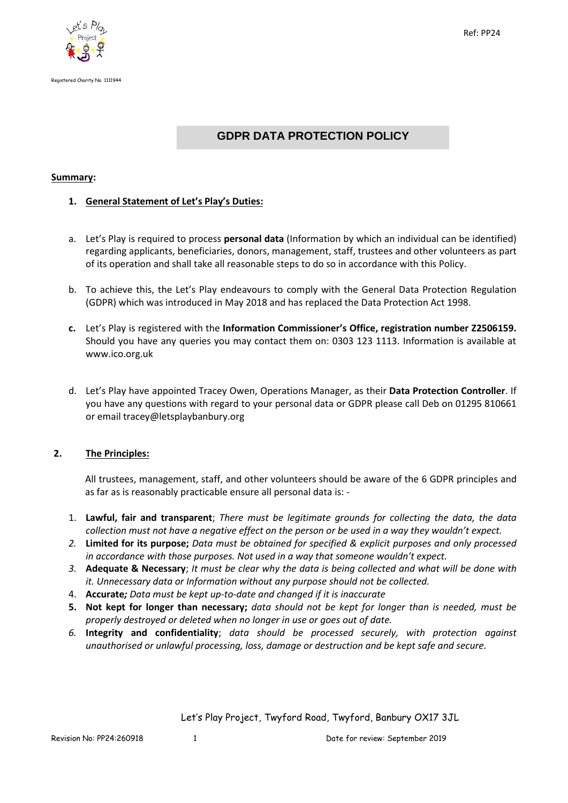



# **GDPR DATA PROTECTION POLICY**

# **Summary:**

# **1. General Statement of Let's Play's Duties:**

- a. Let's Play is required to process **personal data** (Information by which an individual can be identified) regarding applicants, beneficiaries, donors, management, staff, trustees and other volunteers as part of its operation and shall take all reasonable steps to do so in accordance with this Policy.
- b. To achieve this, the Let's Play endeavours to comply with the General Data Protection Regulation (GDPR) which was introduced in May 2018 and has replaced the Data Protection Act 1998.
- **c.** Let's Play is registered with the **Information Commissioner's Office, registration number Z2506159.**  Should you have any queries you may contact them on: 0303 123 1113. Information is available at www.ico.org.uk
- d. Let's Play have appointed Tracey Owen, Operations Manager, as their **Data Protection Controller**. If you have any questions with regard to your personal data or GDPR please call Deb on 01295 810661 or email tracey@letsplaybanbury.org

# **2. The Principles:**

All trustees, management, staff, and other volunteers should be aware of the 6 GDPR principles and as far as is reasonably practicable ensure all personal data is: -

- 1. **Lawful, fair and transparent**; *There must be legitimate grounds for collecting the data, the data collection must not have a negative effect on the person or be used in a way they wouldn't expect.*
- *2.* **Limited for its purpose;** *Data must be obtained for specified & explicit purposes and only processed in accordance with those purposes. Not used in a way that someone wouldn't expect.*
- *3.* **Adequate & Necessary**; *It must be clear why the data is being collected and what will be done with it. Unnecessary data or Information without any purpose should not be collected.*
- 4. **Accurate***; Data must be kept up-to-date and changed if it is inaccurate*
- **5. Not kept for longer than necessary;** *data should not be kept for longer than is needed, must be properly destroyed or deleted when no longer in use or goes out of date.*
- *6.* **Integrity and confidentiality**; *data should be processed securely, with protection against unauthorised or unlawful processing, loss, damage or destruction and be kept safe and secure.*

Let's Play Project, Twyford Road, Twyford, Banbury OX17 3JL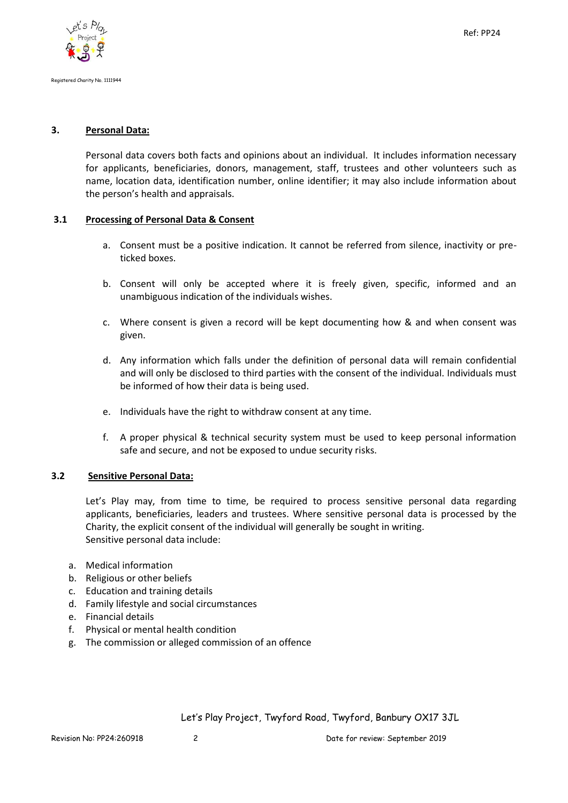#### **3. Personal Data:**

Personal data covers both facts and opinions about an individual. It includes information necessary for applicants, beneficiaries, donors, management, staff, trustees and other volunteers such as name, location data, identification number, online identifier; it may also include information about the person's health and appraisals.

#### **3.1 Processing of Personal Data & Consent**

- a. Consent must be a positive indication. It cannot be referred from silence, inactivity or preticked boxes.
- b. Consent will only be accepted where it is freely given, specific, informed and an unambiguous indication of the individuals wishes.
- c. Where consent is given a record will be kept documenting how & and when consent was given.
- d. Any information which falls under the definition of personal data will remain confidential and will only be disclosed to third parties with the consent of the individual. Individuals must be informed of how their data is being used.
- e. Individuals have the right to withdraw consent at any time.
- f. A proper physical & technical security system must be used to keep personal information safe and secure, and not be exposed to undue security risks.

# **3.2 Sensitive Personal Data:**

Let's Play may, from time to time, be required to process sensitive personal data regarding applicants, beneficiaries, leaders and trustees. Where sensitive personal data is processed by the Charity, the explicit consent of the individual will generally be sought in writing. Sensitive personal data include:

- a. Medical information
- b. Religious or other beliefs
- c. Education and training details
- d. Family lifestyle and social circumstances
- e. Financial details
- f. Physical or mental health condition
- g. The commission or alleged commission of an offence

Let's Play Project, Twyford Road, Twyford, Banbury OX17 3JL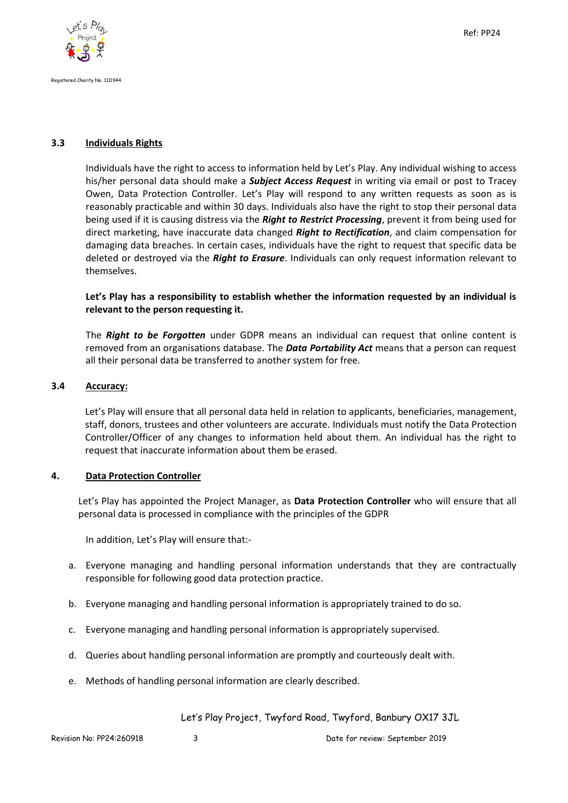

# **3.3 Individuals Rights**

Individuals have the right to access to information held by Let's Play. Any individual wishing to access his/her personal data should make a *Subject Access Request* in writing via email or post to Tracey Owen, Data Protection Controller. Let's Play will respond to any written requests as soon as is reasonably practicable and within 30 days. Individuals also have the right to stop their personal data being used if it is causing distress via the *Right to Restrict Processing*, prevent it from being used for direct marketing, have inaccurate data changed *Right to Rectification*, and claim compensation for damaging data breaches. In certain cases, individuals have the right to request that specific data be deleted or destroyed via the *Right to Erasure*. Individuals can only request information relevant to themselves.

# **Let's Play has a responsibility to establish whether the information requested by an individual is relevant to the person requesting it.**

The *Right to be Forgotten* under GDPR means an individual can request that online content is removed from an organisations database. The *Data Portability Act* means that a person can request all their personal data be transferred to another system for free.

#### **3.4 Accuracy:**

Let's Play will ensure that all personal data held in relation to applicants, beneficiaries, management, staff, donors, trustees and other volunteers are accurate. Individuals must notify the Data Protection Controller/Officer of any changes to information held about them. An individual has the right to request that inaccurate information about them be erased.

# **4. Data Protection Controller**

Let's Play has appointed the Project Manager, as **Data Protection Controller** who will ensure that all personal data is processed in compliance with the principles of the GDPR

In addition, Let's Play will ensure that:-

- a. Everyone managing and handling personal information understands that they are contractually responsible for following good data protection practice.
- b. Everyone managing and handling personal information is appropriately trained to do so.
- c. Everyone managing and handling personal information is appropriately supervised.
- d. Queries about handling personal information are promptly and courteously dealt with.
- e. Methods of handling personal information are clearly described.

Let's Play Project, Twyford Road, Twyford, Banbury OX17 3JL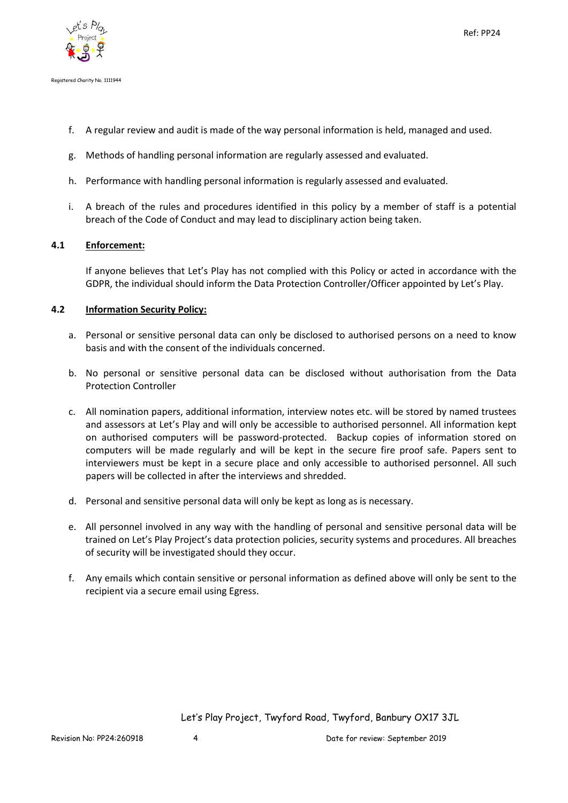

- Registered Charity No. 1111944
	- f. A regular review and audit is made of the way personal information is held, managed and used.
	- g. Methods of handling personal information are regularly assessed and evaluated.
	- h. Performance with handling personal information is regularly assessed and evaluated.
	- i. A breach of the rules and procedures identified in this policy by a member of staff is a potential breach of the Code of Conduct and may lead to disciplinary action being taken.

# **4.1 Enforcement:**

If anyone believes that Let's Play has not complied with this Policy or acted in accordance with the GDPR, the individual should inform the Data Protection Controller/Officer appointed by Let's Play.

# **4.2 Information Security Policy:**

- a. Personal or sensitive personal data can only be disclosed to authorised persons on a need to know basis and with the consent of the individuals concerned.
- b. No personal or sensitive personal data can be disclosed without authorisation from the Data Protection Controller
- c. All nomination papers, additional information, interview notes etc. will be stored by named trustees and assessors at Let's Play and will only be accessible to authorised personnel. All information kept on authorised computers will be password-protected. Backup copies of information stored on computers will be made regularly and will be kept in the secure fire proof safe. Papers sent to interviewers must be kept in a secure place and only accessible to authorised personnel. All such papers will be collected in after the interviews and shredded.
- d. Personal and sensitive personal data will only be kept as long as is necessary.
- e. All personnel involved in any way with the handling of personal and sensitive personal data will be trained on Let's Play Project's data protection policies, security systems and procedures. All breaches of security will be investigated should they occur.
- f. Any emails which contain sensitive or personal information as defined above will only be sent to the recipient via a secure email using Egress.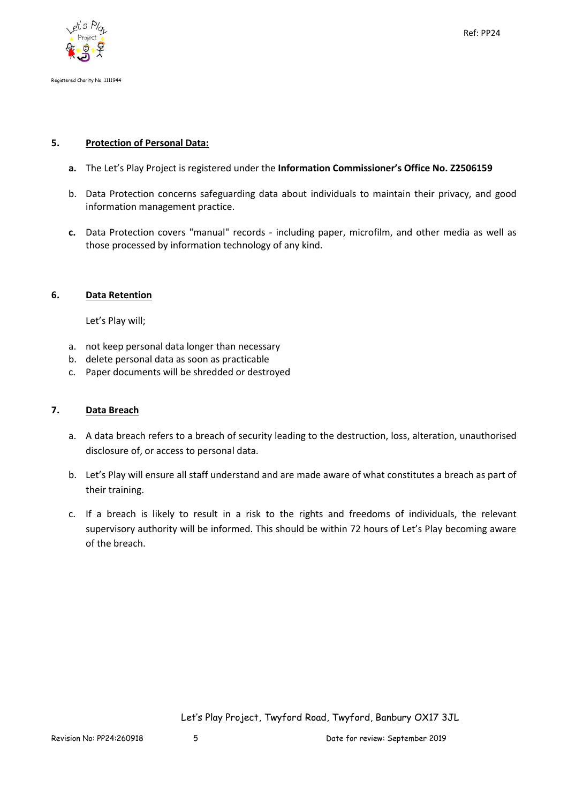

# **5. Protection of Personal Data:**

- **a.** The Let's Play Project is registered under the **Information Commissioner's Office No. Z2506159**
- b. Data Protection concerns safeguarding data about individuals to maintain their privacy, and good information management practice.
- **c.** Data Protection covers "manual" records including paper, microfilm, and other media as well as those processed by information technology of any kind.

# **6. Data Retention**

Let's Play will;

- a. not keep personal data longer than necessary
- b. delete personal data as soon as practicable
- c. Paper documents will be shredded or destroyed

# **7. Data Breach**

- a. A data breach refers to a breach of security leading to the destruction, loss, alteration, unauthorised disclosure of, or access to personal data.
- b. Let's Play will ensure all staff understand and are made aware of what constitutes a breach as part of their training.
- c. If a breach is likely to result in a risk to the rights and freedoms of individuals, the relevant supervisory authority will be informed. This should be within 72 hours of Let's Play becoming aware of the breach.